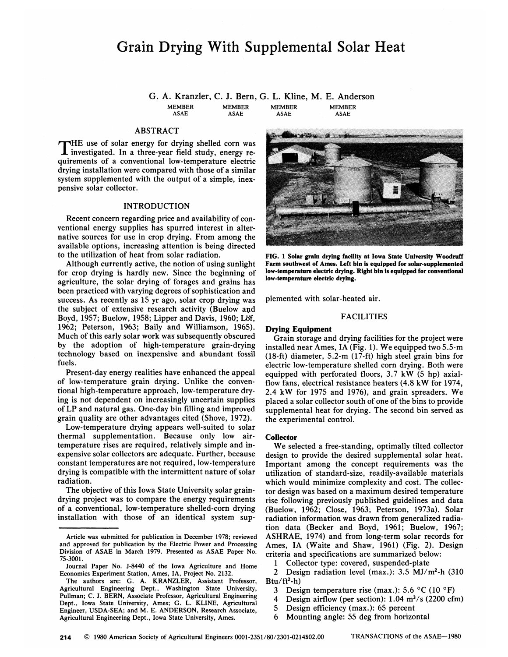# Grain Drying With Supplemental Solar Heat

G. A. Kranzler, C. J. Bern, G. L. Kline, M. E. Anderson MEMBER ASAE MEMBER ASAE MEMBER ASAE MEMBER ASAE

# ABSTRACT

THE use of solar energy for drying shelled corn was investigated. In a three-year field study, energy re-HE use of solar energy for drying shelled corn was quirements of a conventional low-temperature electric drying installation were compared with those of a similar system supplemented with the output of a simple, inexpensive solar collector.

# INTRODUCTION

Recent concern regarding price and availability of conventional energy supplies has spurred interest in alternative sources for use in crop drying. From among the available options, increasing attention is being directed to the utilization of heat from solar radiation.

Although currently active, the notion of using sunlight for crop drying is hardly new. Since the beginning of agriculture, the solar drying of forages and grains has been practiced with varying degrees of sophistication and success. As recently as 15 yr ago, solar crop drying was the subject of extensive research activity (Buelow and Boyd, 1957; Buelow, 1958; Upper and Davis, 1960; Lof, 1962; Peterson, 1963; Baily and Williamson, 1965). Much of this early solar work was subsequently obscured by the adoption of high-temperature grain-drying technology based on inexpensive and abundant fossil fuels.

Present-day energy realities have enhanced the appeal of low-temperature grain drying. Unlike the conventional high-temperature approach, low-temperature drying is not dependent on increasingly uncertain supplies of LP and natural gas. One-day bin filling and improved grain quality are other advantages cited (Shove, 1972).

Low-temperature drying appears well-suited to solar thermal supplementation. Because only low airtemperature rises are required, relatively simple and inexpensive solar collectors are adequate. Further, because constant temperatures are not required, low-temperature drying is compatible with the intermittent nature of solar radiation.

The objective of this Iowa State University solar graindrying project was to compare the energy requirements of a conventional, low-temperature shelled-corn drying installation with those of an identical system sup-



**FIG. 1 Solar grain drying facility at Iowa State University Woodruff Farm southwest of Ames. Left bin is equipped for solar-supplemented low-temperature electric drying. Right bin is equipped for conventional low-temperature electric drying.** 

plemented with solar-heated air.

## FACILITIES

# **Drying Equipment**

Grain storage and drying facilities for the project were installed near Ames, IA (Fig. 1). We equipped two 5.5-m (18-ft) diameter, 5.2-m (17-ft) high steel grain bins for electric low-temperature shelled corn drying. Both were equipped with perforated floors, 3.7 kW (5 hp) axialflow fans, electrical resistance heaters (4.8 kW for 1974, 2.4 kW for 1975 and 1976), and grain spreaders. We placed a solar collector south of one of the bins to provide supplemental heat for drying. The second bin served as the experimental control.

#### **Collector**

We selected a free-standing, optimally tilted collector design to provide the desired supplemental solar heat. Important among the concept requirements was the utilization of standard-size, readily-available materials which would minimize complexity and cost. The collector design was based on a maximum desired temperature rise following previously published guidelines and data (Buelow, 1962; Close, 1963; Peterson, 1973a). Solar radiation information was drawn from generalized radiation data (Becker and Boyd, 1961; Buelow, 1967; ASHRAE, 1974) and from long-term solar records for Ames, IA (Waite and Shaw, 1961) (Fig. 2). Design criteria and specifications are summarized below:

1 Collector type: covered, suspended-plate

2 Design radiation level (max.): 3.5 MJ/m<sup>2</sup> -h (310  $Btu/ft<sup>2</sup> - h)$ 

- 3 Design temperature rise (max.): 5.6°C(10°F)
- 4 Design airflow (per section):  $1.04 \text{ m}^3/\text{s}$  (2200 cfm)
- 5 Design efficiency (max.): 65 percent

6 Mounting angle: 55 deg from horizontal

Article was submitted for publication in December 1978; reviewed and approved for publication by the Electric Power and Processing Division of ASAE in March 1979. Presented as ASAE Paper No. 75-3001.

Journal Paper No. J-8440 of the Iowa Agriculture and Home Economics Experiment Station, Ames, IA, Project No. 2132.

The authors are: G. A. KRANZLER, Assistant Professor, Agricultural Engineering Dept., Washington State University, Pullman; C. J. BERN, Associate Professor, Agricultural Engineering Dept., Iowa State University, Ames; G. L. KLINE, Agricultural Engineer, USDA-SEA; and M. E. ANDERSON, Research Associate, Agricultural Engineering Dept., Iowa State University, Ames.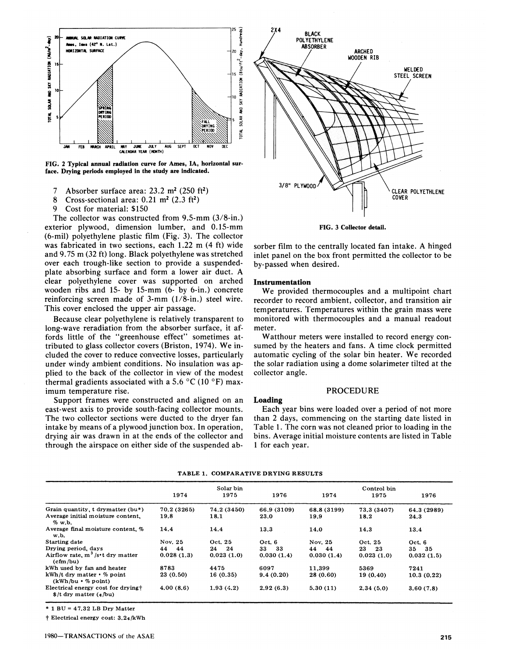

**FIG. 2 Typical annual radiation curve for Ames, IA, horizontal surface. Drying periods employed in the study are indicated.** 

7 Absorber surface area:  $23.2 \text{ m}^2$  (250 ft<sup>2</sup>)

8 Cross-sectional area:  $0.21 \text{ m}^2$  ( $2.3 \text{ ft}^2$ )

9 Cost for material: \$150

The collector was constructed from 9.5-mm (3/8-in.) exterior plywood, dimension lumber, and 0.15-mm (6-mil) polyethylene plastic film (Fig. 3). The collector was fabricated in two sections, each 1.22 m (4 ft) wide and 9.75 m (32 ft) long. Black polyethylene was stretched over each trough-like section to provide a suspendedplate absorbing surface and form a lower air duct. A clear polyethylene cover was supported on arched wooden ribs and 15- by 15-mm (6- by 6-in.) concrete reinforcing screen made of 3-mm (1/8-in.) steel wire. This cover enclosed the upper air passage.

Because clear polyethylene is relatively transparent to long-wave reradiation from the absorber surface, it affords little of the "greenhouse effect'' sometimes attributed to glass collector covers (Briston, 1974). We included the cover to reduce convective losses, particularly under windy ambient conditions. No insulation was applied to the back of the collector in view of the modest thermal gradients associated with a 5.6  $^{\circ}$ C (10  $^{\circ}$ F) maximum temperature rise.

Support frames were constructed and aligned on an east-west axis to provide south-facing collector mounts. The two collector sections were ducted to the dryer fan intake by means of a plywood junction box. In operation, drying air was drawn in at the ends of the collector and through the airspace on either side of the suspended ab-



**FIG. 3 Collector detail.** 

sorber film to the centrally located fan intake. A hinged inlet panel on the box front permitted the collector to be by-passed when desired.

## **Instrumentation**

We provided thermocouples and a multipoint chart recorder to record ambient, collector, and transition air temperatures. Temperatures within the grain mass were monitored with thermocouples and a manual readout meter.

Watthour meters were installed to record energy consumed by the heaters and fans. A time clock permitted automatic cycling of the solar bin heater. We recorded the solar radiation using a dome solarimeter tilted at the collector angle.

## PROCEDURE

#### **Loading**

Each year bins were loaded over a period of not more than 2 days, commencing on the starting date listed in Table 1. The corn was not cleaned prior to loading in the bins. Average initial moisture contents are listed in Table 1 for each year.

|                                                                          | Solar bin   |             |                | Control bin |             |             |
|--------------------------------------------------------------------------|-------------|-------------|----------------|-------------|-------------|-------------|
|                                                                          | 1974        | 1975        | 1976           | 1974        | 1975        | 1976        |
| Grain quantity, t drymatter (bu*)                                        | 70.2 (3265) | 74.2 (3450) | 66.9 (3109)    | 68.8 (3199) | 73.3 (3407) | 64.3 (2989) |
| Average initial moisture content.<br>$%$ w, b,                           | 19.8        | 18.1        | $23.0^{\circ}$ | 19.9        | 18.2        | 24.3        |
| Average final moisture content, %<br>w.b.                                | 14.4        | 14.4        | 13.3           | 14.0        | 14.3        | 13.4        |
| Starting date                                                            | Nov. 25     | Oct. 25     | Oct. 6         | Nov. 25     | Oct. 25     | Oct. 6      |
| Drying period, days                                                      | 44<br>44    | 24<br>24    | 33<br>33       | 44<br>44    | 23<br>23    | 35<br>35    |
| Airflow rate, $m^3/s$ <sup>t</sup> dry matter<br>(cfm/bu)                | 0.028(1.3)  | 0.023(1.0)  | 0.030(1.4)     | 0.030(1.4)  | 0.023(1.0)  | 0.032(1.5)  |
| kWh used by fan and heater                                               | 8783        | 4475        | 6097           | 11,399      | 5369        | 7241        |
| $kWh/t$ dry matter $\cdot$ % point<br>$(kWh/bu \cdot % point)$           | 23 (0.50)   | 16(0.35)    | 9.4(0.20)      | 28 (0.60)   | 19 (0.40)   | 10.3(0.22)  |
| Electrical energy cost for drying+<br>$\frac{1}{2}$ /t dry matter (c/bu) | 4.00(8.6)   | 1.93(4.2)   | 2.92(6.3)      | 5.30(11)    | 2.34(5.0)   | 3,60(7,8)   |

**TABLE 1. COMPARATIVE DRYING RESULTS** 

\* 1 BU = 47.32 LB Dry Matter

t Electrical energy cost:  $3.24/kWh$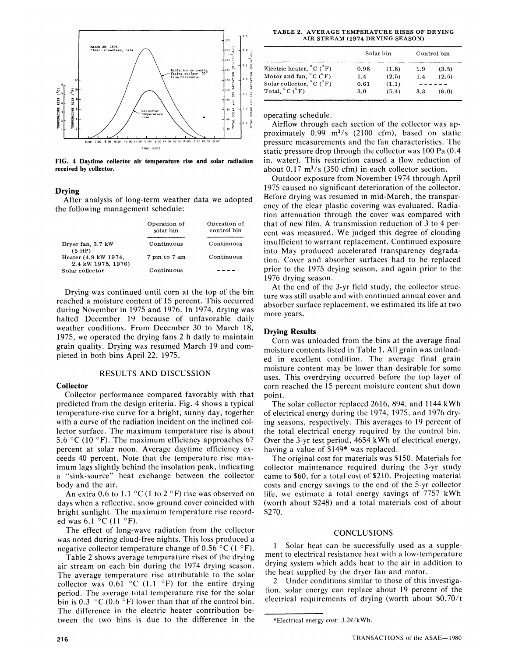

**FIG. 4 Daytime collector air temperature rise and solar radiation received by collector.** 

# **Drying**

After analysis of long-term weather data we adopted the following management schedule:

|                                            | Operation of<br>solar bin | Operation of<br>control bin |  |
|--------------------------------------------|---------------------------|-----------------------------|--|
| Dryer fan, 3.7 kW<br>$(5$ HP $)$           | Continuous                | Continuous                  |  |
| Heater (4.9 kW 1974,<br>2.4 kW 1975, 1976) | 7 pm to 7 am              | Continuous                  |  |
| Solar collector                            | Continuous                |                             |  |

Drying was continued until corn at the top of the bin reached a moisture content of 15 percent. This occurred during November in 1975 and 1976. In 1974, drying was halted December 19 because of unfavorable daily weather conditions. From December 30 to March 18, 1975, we operated the drying fans 2 h daily to maintain grain quality. Drying was resumed March 19 and completed in both bins April 22, 1975.

## RESULTS AND DISCUSSION

## **Collector**

Collector performance compared favorably with that predicted from the design criteria. Fig. 4 shows a typical temperature-rise curve for a bright, sunny day, together with a curve of the radiation incident on the inclined collector surface. The maximum temperature rise is about 5.6 °C (10 °F). The maximum efficiency approaches 67 percent at solar noon. Average daytime efficiency exceeds 40 percent. Note that the temperature rise maximum lags slightly behind the insolation peak, indicating a "sink-source" heat exchange between the collector body and the air.

An extra 0.6 to 1.1  $\mathrm{^{\circ}C}$  (1 to 2  $\mathrm{^{\circ}F}$ ) rise was observed on days when a reflective, snow ground cover coincided with bright sunlight. The maximum temperature rise recorded was  $6.1 \degree$ C $(11 \degree$ F).

The effect of long-wave radiation from the collector was noted during cloud-free nights. This loss produced a negative collector temperature change of 0.56  $^{\circ}$ C (1  $^{\circ}$ F).

Table 2 shows average temperature rises of the drying air stream on each bin during the 1974 drying season. The average temperature rise attributable to the solar collector was 0.61  $\degree$ C (1.1  $\degree$ F) for the entire drying period. The average total temperature rise for the solar bin is 0.3  $\degree$ C (0.6  $\degree$ F) lower than that of the control bin. The difference in the electric heater contribution between the two bins is due to the difference in the

**TABLE 2. AVERAGE TEMPERATURE RISES OF DRYING AIR STREAM (1974 DRYING SEASON)** 

|                                               | Solar bin | Control bin |     |       |
|-----------------------------------------------|-----------|-------------|-----|-------|
| Electric heater, $^{\circ}$ C ( $^{\circ}$ F) | 0.98      | (1.8)       | 1.9 | (3.5) |
| Motor and fan, $^{\circ}$ C ( $^{\circ}$ F)   | 1.4       | (2.5)       | 1.4 | (2.5) |
| Solar collector, $^{\circ}$ C ( $^{\circ}$ F) | 0.61      | (1.1)       |     |       |
| Total, $^{\circ}$ C ( $^{\circ}$ F)           | 3.0       | (5.4)       | 3.3 | (6.0) |

operating schedule.

Airflow through each section of the collector was approximately  $0.99 \text{ m}^3/\text{s}$  (2100 cfm), based on static pressure measurements and the fan characteristics. The static pressure drop through the collector was 100 Pa (0.4 in. water). This restriction caused a flow reduction of about  $0.17 \text{ m}^3/\text{s}$  (350 cfm) in each collector section.

Outdoor exposure from November 1974 through April 1975 caused no significant deterioration of the collector. Before drying was resumed in mid-March, the transparency of the clear plastic covering was evaluated. Radiation attenuation through the cover was compared with that of new film. A transmission reduction of 3 to 4 percent was measured. We judged this degree of clouding insufficient to warrant replacement. Continued exposure into May produced accelerated transparency degradation. Cover and absorber surfaces had to be replaced prior to the 1975 drying season, and again prior to the 1976 drying season.

At the end of the 3-yr field study, the collector structure was still usable and with continued annual cover and absorber surface replacement, we estimated its life at two more years.

## **Drying Results**

Corn was unloaded from the bins at the average final moisture contents listed in Table 1. All grain was unloaded in excellent condition. The average final grain moisture content may be lower than desirable for some uses. This overdrying occurred before the top layer of corn reached the 15 percent moisture content shut down point.

The solar collector replaced 2616, 894, and 1144 kWh of electrical energy during the 1974, 1975, and 1976 drying seasons, respectively. This averages to 19 percent of the total electrical energy required by the control bin. Over the 3-yr test period, 4654 kWh of electrical energy, having a value of \$149\* was replaced.

The original cost for materials was \$150. Materials for collector maintenance required during the 3-yr study came to \$60, for a total cost of \$210. Projecting material costs and energy savings to the end of the 5-yr collector life, we estimate a total energy savings of 7757 kWh (worth about \$248) and a total materials cost of about \$270.

# CONCLUSIONS

1 Solar heat can be successfully used as a supplement to electrical resistance heat with a low-temperature drying system which adds heat to the air in addition to the heat supplied by the dryer fan and motor.

2 Under conditions similar to those of this investigation, solar energy can replace about 19 percent of the electrical requirements of drying (worth about \$0.70/t

<sup>\*</sup>Electrical energy cost: 3.20/kWh.